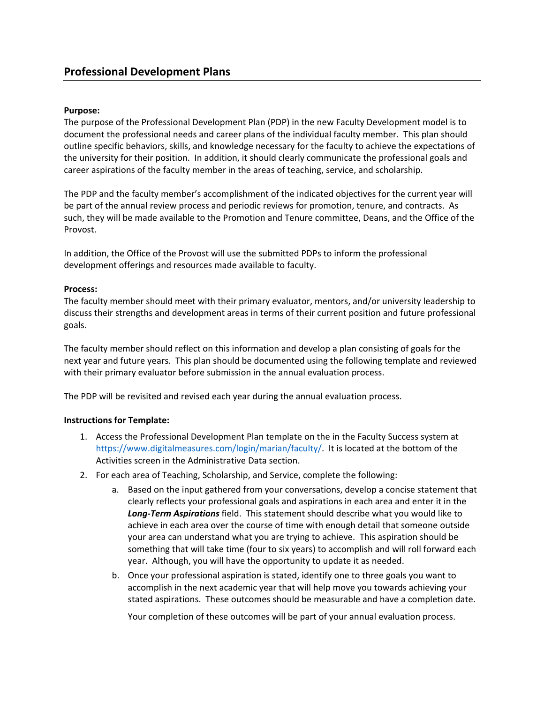## **Purpose:**

The purpose of the Professional Development Plan (PDP) in the new Faculty Development model is to document the professional needs and career plans of the individual faculty member. This plan should outline specific behaviors, skills, and knowledge necessary for the faculty to achieve the expectations of the university for their position. In addition, it should clearly communicate the professional goals and career aspirations of the faculty member in the areas of teaching, service, and scholarship.

The PDP and the faculty member's accomplishment of the indicated objectives for the current year will be part of the annual review process and periodic reviews for promotion, tenure, and contracts. As such, they will be made available to the Promotion and Tenure committee, Deans, and the Office of the Provost.

In addition, the Office of the Provost will use the submitted PDPs to inform the professional development offerings and resources made available to faculty.

## **Process:**

The faculty member should meet with their primary evaluator, mentors, and/or university leadership to discuss their strengths and development areas in terms of their current position and future professional goals.

The faculty member should reflect on this information and develop a plan consisting of goals for the next year and future years. This plan should be documented using the following template and reviewed with their primary evaluator before submission in the annual evaluation process.

The PDP will be revisited and revised each year during the annual evaluation process.

## **Instructions for Template:**

- 1. Access the Professional Development Plan template on the in the Faculty Success system at https://www.digitalmeasures.com/login/marian/faculty/. It is located at the bottom of the Activities screen in the Administrative Data section.
- 2. For each area of Teaching, Scholarship, and Service, complete the following:
	- a. Based on the input gathered from your conversations, develop a concise statement that clearly reflects your professional goals and aspirations in each area and enter it in the *Long‐Term Aspirations* field. This statement should describe what you would like to achieve in each area over the course of time with enough detail that someone outside your area can understand what you are trying to achieve. This aspiration should be something that will take time (four to six years) to accomplish and will roll forward each year. Although, you will have the opportunity to update it as needed.
	- b. Once your professional aspiration is stated, identify one to three goals you want to accomplish in the next academic year that will help move you towards achieving your stated aspirations. These outcomes should be measurable and have a completion date.

Your completion of these outcomes will be part of your annual evaluation process.